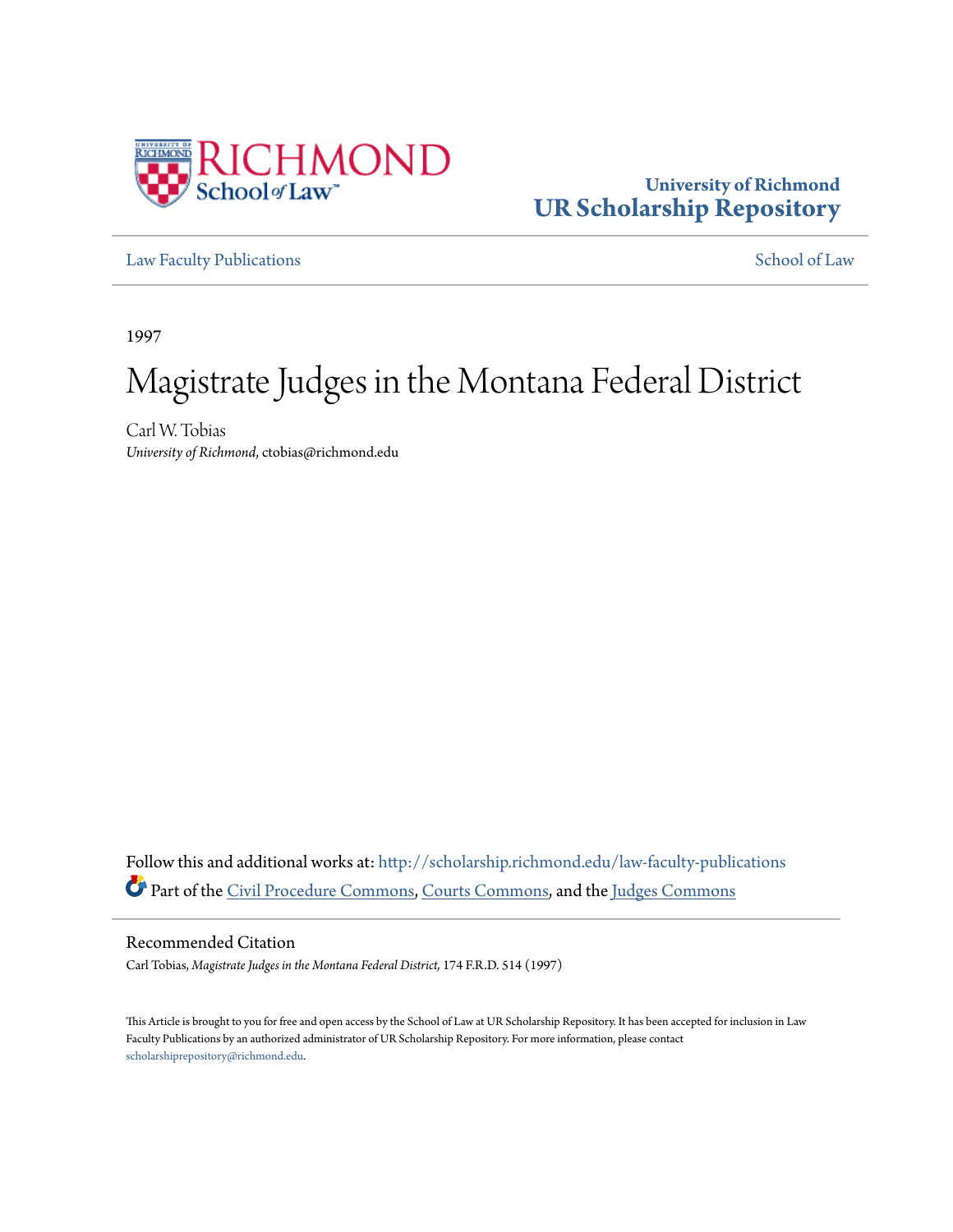

## **University of Richmond [UR Scholarship Repository](http://scholarship.richmond.edu?utm_source=scholarship.richmond.edu%2Flaw-faculty-publications%2F824&utm_medium=PDF&utm_campaign=PDFCoverPages)**

[Law Faculty Publications](http://scholarship.richmond.edu/law-faculty-publications?utm_source=scholarship.richmond.edu%2Flaw-faculty-publications%2F824&utm_medium=PDF&utm_campaign=PDFCoverPages) [School of Law](http://scholarship.richmond.edu/law?utm_source=scholarship.richmond.edu%2Flaw-faculty-publications%2F824&utm_medium=PDF&utm_campaign=PDFCoverPages)

1997

# Magistrate Judges in the Montana Federal District

Carl W. Tobias *University of Richmond*, ctobias@richmond.edu

Follow this and additional works at: [http://scholarship.richmond.edu/law-faculty-publications](http://scholarship.richmond.edu/law-faculty-publications?utm_source=scholarship.richmond.edu%2Flaw-faculty-publications%2F824&utm_medium=PDF&utm_campaign=PDFCoverPages) Part of the [Civil Procedure Commons](http://network.bepress.com/hgg/discipline/584?utm_source=scholarship.richmond.edu%2Flaw-faculty-publications%2F824&utm_medium=PDF&utm_campaign=PDFCoverPages), [Courts Commons,](http://network.bepress.com/hgg/discipline/839?utm_source=scholarship.richmond.edu%2Flaw-faculty-publications%2F824&utm_medium=PDF&utm_campaign=PDFCoverPages) and the [Judges Commons](http://network.bepress.com/hgg/discipline/849?utm_source=scholarship.richmond.edu%2Flaw-faculty-publications%2F824&utm_medium=PDF&utm_campaign=PDFCoverPages)

Recommended Citation

Carl Tobias, *Magistrate Judges in the Montana Federal District,* 174 F.R.D. 514 (1997)

This Article is brought to you for free and open access by the School of Law at UR Scholarship Repository. It has been accepted for inclusion in Law Faculty Publications by an authorized administrator of UR Scholarship Repository. For more information, please contact [scholarshiprepository@richmond.edu.](mailto:scholarshiprepository@richmond.edu)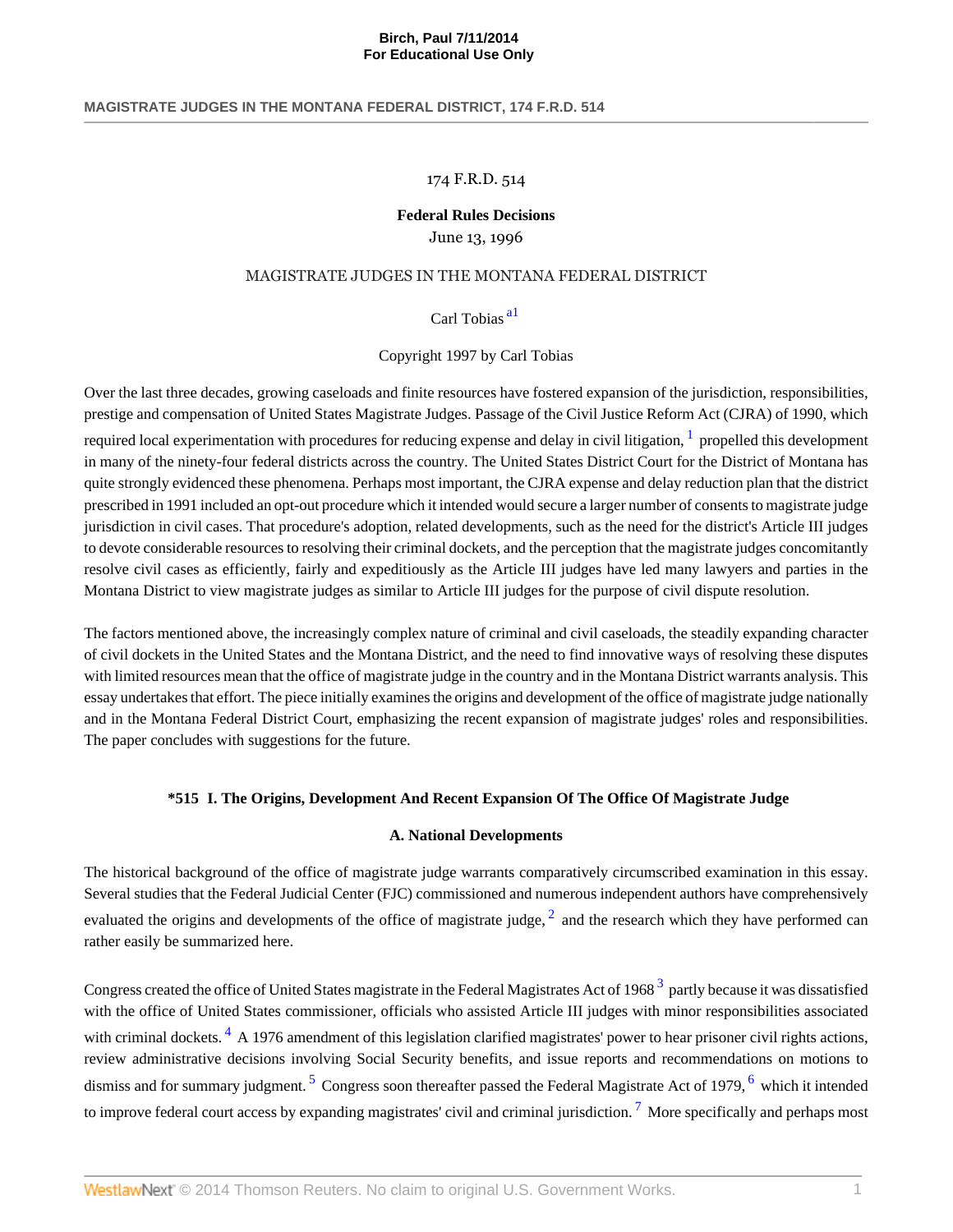## 174 F.R.D. 514

## **Federal Rules Decisions**

## June 13, 1996

## MAGISTRATE JUDGES IN THE MONTANA FEDERAL DISTRICT

## <span id="page-1-1"></span><span id="page-1-0"></span>Carl Tobias [a1](#page-5-0)

## Copyright 1997 by Carl Tobias

Over the last three decades, growing caseloads and finite resources have fostered expansion of the jurisdiction, responsibilities, prestige and compensation of United States Magistrate Judges. Passage of the Civil Justice Reform Act (CJRA) of 1990, which required local experimentation with procedures for reducing expense and delay in civil litigation,  $^1$  $^1$  propelled this development in many of the ninety-four federal districts across the country. The United States District Court for the District of Montana has quite strongly evidenced these phenomena. Perhaps most important, the CJRA expense and delay reduction plan that the district prescribed in 1991 included an opt-out procedure which it intended would secure a larger number of consents to magistrate judge jurisdiction in civil cases. That procedure's adoption, related developments, such as the need for the district's Article III judges to devote considerable resources to resolving their criminal dockets, and the perception that the magistrate judges concomitantly resolve civil cases as efficiently, fairly and expeditiously as the Article III judges have led many lawyers and parties in the Montana District to view magistrate judges as similar to Article III judges for the purpose of civil dispute resolution.

The factors mentioned above, the increasingly complex nature of criminal and civil caseloads, the steadily expanding character of civil dockets in the United States and the Montana District, and the need to find innovative ways of resolving these disputes with limited resources mean that the office of magistrate judge in the country and in the Montana District warrants analysis. This essay undertakes that effort. The piece initially examines the origins and development of the office of magistrate judge nationally and in the Montana Federal District Court, emphasizing the recent expansion of magistrate judges' roles and responsibilities. The paper concludes with suggestions for the future.

## **\*515 I. The Origins, Development And Recent Expansion Of The Office Of Magistrate Judge**

## <span id="page-1-7"></span><span id="page-1-6"></span><span id="page-1-3"></span><span id="page-1-2"></span>**A. National Developments**

The historical background of the office of magistrate judge warrants comparatively circumscribed examination in this essay. Several studies that the Federal Judicial Center (FJC) commissioned and numerous independent authors have comprehensively evaluated the origins and developments of the office of magistrate judge,  $^2$  $^2$  and the research which they have performed can rather easily be summarized here.

<span id="page-1-5"></span><span id="page-1-4"></span>Congress created the office of United States magistrate in the Federal Magistrates Act of 1968  $^3$  $^3$  partly because it was dissatisfied with the office of United States commissioner, officials who assisted Article III judges with minor responsibilities associated with criminal dockets.<sup>[4](#page-6-0)</sup> A 1976 amendment of this legislation clarified magistrates' power to hear prisoner civil rights actions, review administrative decisions involving Social Security benefits, and issue reports and recommendations on motions to dismiss and for summary judgment.<sup>[5](#page-6-1)</sup> Congress soon thereafter passed the Federal Magistrate Act of 1979, <sup>[6](#page-6-2)</sup> which it intended to improve federal court access by expanding magistrates' civil and criminal jurisdiction.<sup>[7](#page-6-3)</sup> More specifically and perhaps most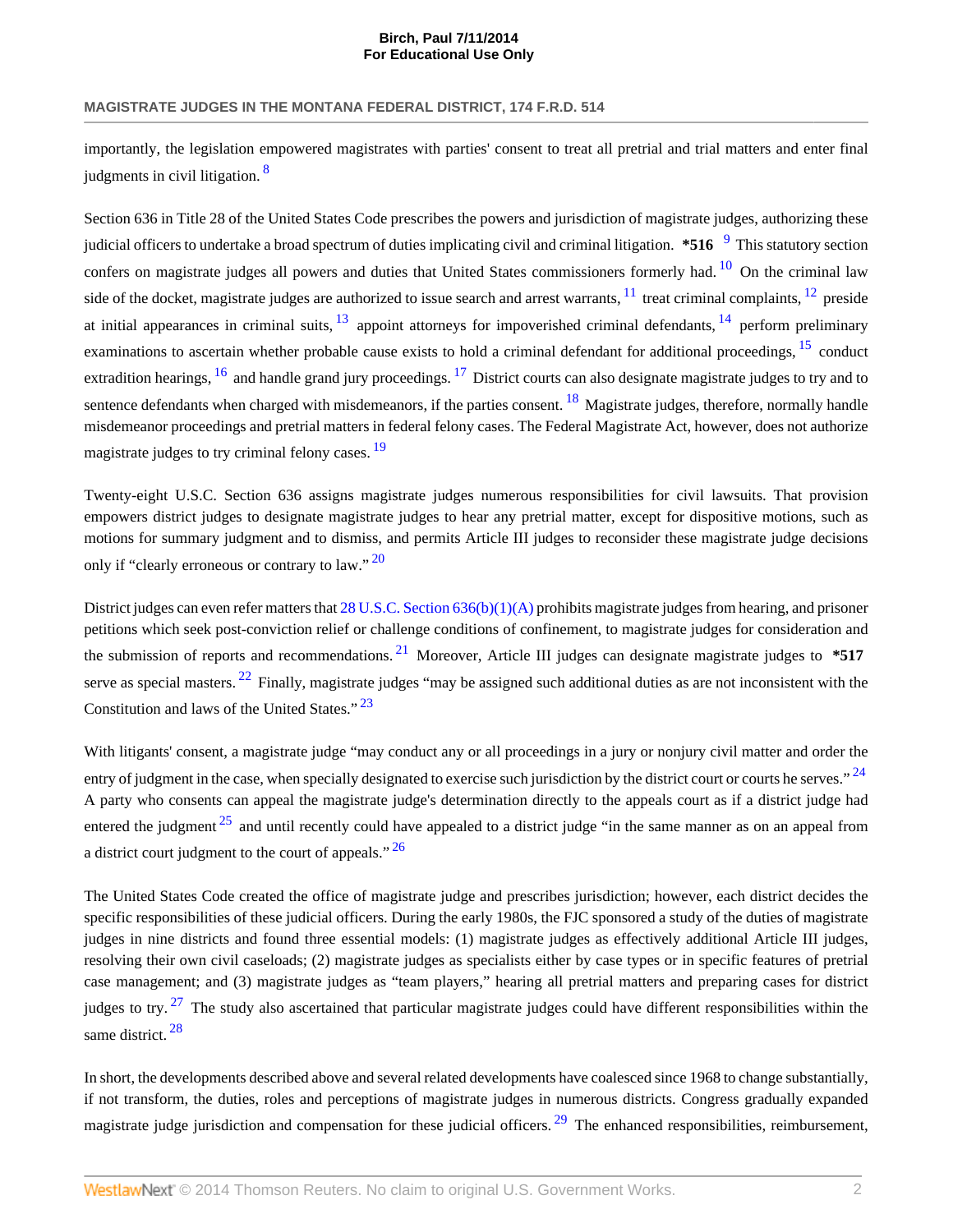<span id="page-2-0"></span>importantly, the legislation empowered magistrates with parties' consent to treat all pretrial and trial matters and enter final judgments in civil litigation.<sup>[8](#page-6-4)</sup>

<span id="page-2-7"></span><span id="page-2-6"></span><span id="page-2-5"></span><span id="page-2-4"></span><span id="page-2-3"></span><span id="page-2-2"></span><span id="page-2-1"></span>Section 636 in Title 28 of the United States Code prescribes the powers and jurisdiction of magistrate judges, authorizing these judicial officers to undertake a broad spectrum of duties implicating civil and criminal litigation.  $*516^{-9}$  $*516^{-9}$  $*516^{-9}$  This statutory section confers on magistrate judges all powers and duties that United States commissioners formerly had.<sup>[10](#page-6-6)</sup> On the criminal law side of the docket, magistrate judges are authorized to issue search and arrest warrants,  $^{11}$  $^{11}$  $^{11}$  treat criminal complaints,  $^{12}$  $^{12}$  $^{12}$  preside at initial appearances in criminal suits,  $\frac{13}{13}$  $\frac{13}{13}$  $\frac{13}{13}$  appoint attorneys for impoverished criminal defendants,  $\frac{14}{14}$  $\frac{14}{14}$  $\frac{14}{14}$  perform preliminary examinations to ascertain whether probable cause exists to hold a criminal defendant for additional proceedings, <sup>[15](#page-6-11)</sup> conduct extradition hearings,  $^{16}$  $^{16}$  $^{16}$  and handle grand jury proceedings,  $^{17}$  $^{17}$  $^{17}$  District courts can also designate magistrate judges to try and to sentence defendants when charged with misdemeanors, if the parties consent.  $^{18}$  $^{18}$  $^{18}$  Magistrate judges, therefore, normally handle misdemeanor proceedings and pretrial matters in federal felony cases. The Federal Magistrate Act, however, does not authorize magistrate judges to try criminal felony cases. <sup>[19](#page-6-15)</sup>

<span id="page-2-11"></span><span id="page-2-10"></span><span id="page-2-9"></span><span id="page-2-8"></span>Twenty-eight U.S.C. Section 636 assigns magistrate judges numerous responsibilities for civil lawsuits. That provision empowers district judges to designate magistrate judges to hear any pretrial matter, except for dispositive motions, such as motions for summary judgment and to dismiss, and permits Article III judges to reconsider these magistrate judge decisions only if "clearly erroneous or contrary to law."  $^{20}$  $^{20}$  $^{20}$ 

<span id="page-2-14"></span><span id="page-2-13"></span><span id="page-2-12"></span>District judges can even refer matters that [28 U.S.C. Section 636\(b\)\(1\)\(A\)](http://www.westlaw.com/Link/Document/FullText?findType=L&pubNum=1000546&cite=28USCAS636&originationContext=document&vr=3.0&rs=cblt1.0&transitionType=DocumentItem&contextData=(sc.UserEnteredCitation)#co_pp_8b16000077793) prohibits magistrate judges from hearing, and prisoner petitions which seek post-conviction relief or challenge conditions of confinement, to magistrate judges for consideration and the submission of reports and recommendations. [21](#page-6-17) Moreover, Article III judges can designate magistrate judges to **\*517** serve as special masters. <sup>[22](#page-6-18)</sup> Finally, magistrate judges "may be assigned such additional duties as are not inconsistent with the Constitution and laws of the United States." [23](#page-6-19)

<span id="page-2-17"></span><span id="page-2-16"></span><span id="page-2-15"></span>With litigants' consent, a magistrate judge "may conduct any or all proceedings in a jury or nonjury civil matter and order the entry of judgment in the case, when specially designated to exercise such jurisdiction by the district court or courts he serves." <sup>[24](#page-6-20)</sup> A party who consents can appeal the magistrate judge's determination directly to the appeals court as if a district judge had entered the judgment  $25$  and until recently could have appealed to a district judge "in the same manner as on an appeal from a district court judgment to the court of appeals."  $26$ 

<span id="page-2-18"></span>The United States Code created the office of magistrate judge and prescribes jurisdiction; however, each district decides the specific responsibilities of these judicial officers. During the early 1980s, the FJC sponsored a study of the duties of magistrate judges in nine districts and found three essential models: (1) magistrate judges as effectively additional Article III judges, resolving their own civil caseloads; (2) magistrate judges as specialists either by case types or in specific features of pretrial case management; and (3) magistrate judges as "team players," hearing all pretrial matters and preparing cases for district judges to try.  $27$  The study also ascertained that particular magistrate judges could have different responsibilities within the same district. [28](#page-7-0)

<span id="page-2-21"></span><span id="page-2-20"></span><span id="page-2-19"></span>In short, the developments described above and several related developments have coalesced since 1968 to change substantially, if not transform, the duties, roles and perceptions of magistrate judges in numerous districts. Congress gradually expanded magistrate judge jurisdiction and compensation for these judicial officers.  $^{29}$  $^{29}$  $^{29}$  The enhanced responsibilities, reimbursement,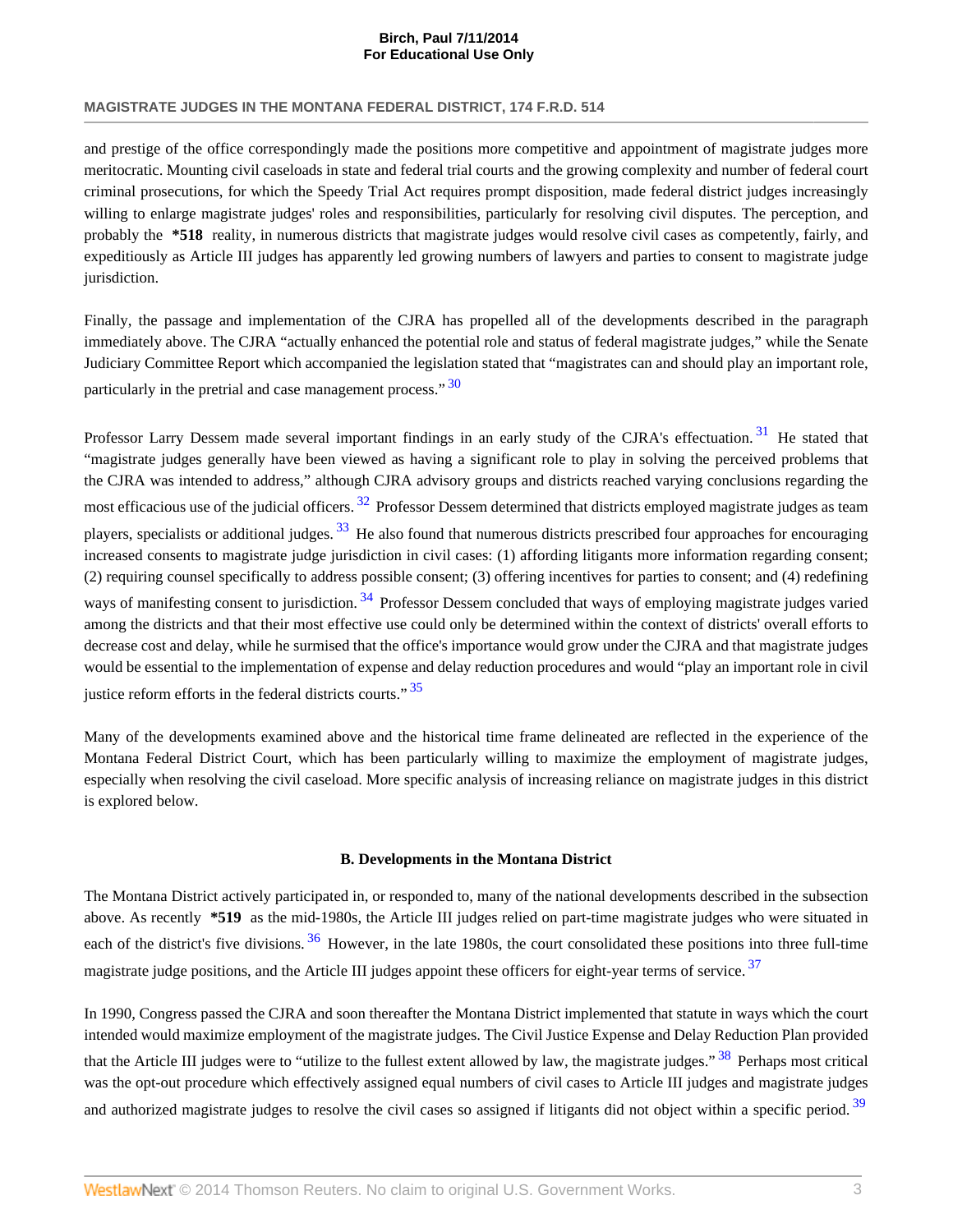and prestige of the office correspondingly made the positions more competitive and appointment of magistrate judges more meritocratic. Mounting civil caseloads in state and federal trial courts and the growing complexity and number of federal court criminal prosecutions, for which the Speedy Trial Act requires prompt disposition, made federal district judges increasingly willing to enlarge magistrate judges' roles and responsibilities, particularly for resolving civil disputes. The perception, and probably the **\*518** reality, in numerous districts that magistrate judges would resolve civil cases as competently, fairly, and expeditiously as Article III judges has apparently led growing numbers of lawyers and parties to consent to magistrate judge jurisdiction.

Finally, the passage and implementation of the CJRA has propelled all of the developments described in the paragraph immediately above. The CJRA "actually enhanced the potential role and status of federal magistrate judges," while the Senate Judiciary Committee Report which accompanied the legislation stated that "magistrates can and should play an important role, particularly in the pretrial and case management process." [30](#page-7-2)

<span id="page-3-3"></span><span id="page-3-2"></span><span id="page-3-0"></span>Professor Larry Dessem made several important findings in an early study of the CJRA's effectuation.<sup>[31](#page-7-3)</sup> He stated that "magistrate judges generally have been viewed as having a significant role to play in solving the perceived problems that the CJRA was intended to address," although CJRA advisory groups and districts reached varying conclusions regarding the most efficacious use of the judicial officers. <sup>[32](#page-7-4)</sup> Professor Dessem determined that districts employed magistrate judges as team players, specialists or additional judges.  $33$  He also found that numerous districts prescribed four approaches for encouraging increased consents to magistrate judge jurisdiction in civil cases: (1) affording litigants more information regarding consent; (2) requiring counsel specifically to address possible consent; (3) offering incentives for parties to consent; and (4) redefining ways of manifesting consent to jurisdiction.<sup>[34](#page-7-6)</sup> Professor Dessem concluded that ways of employing magistrate judges varied among the districts and that their most effective use could only be determined within the context of districts' overall efforts to decrease cost and delay, while he surmised that the office's importance would grow under the CJRA and that magistrate judges would be essential to the implementation of expense and delay reduction procedures and would "play an important role in civil justice reform efforts in the federal districts courts."  $35$ 

Many of the developments examined above and the historical time frame delineated are reflected in the experience of the Montana Federal District Court, which has been particularly willing to maximize the employment of magistrate judges, especially when resolving the civil caseload. More specific analysis of increasing reliance on magistrate judges in this district is explored below.

#### <span id="page-3-9"></span><span id="page-3-8"></span><span id="page-3-7"></span><span id="page-3-6"></span><span id="page-3-5"></span><span id="page-3-4"></span><span id="page-3-1"></span>**B. Developments in the Montana District**

The Montana District actively participated in, or responded to, many of the national developments described in the subsection above. As recently **\*519** as the mid-1980s, the Article III judges relied on part-time magistrate judges who were situated in each of the district's five divisions. <sup>[36](#page-7-8)</sup> However, in the late 1980s, the court consolidated these positions into three full-time magistrate judge positions, and the Article III judges appoint these officers for eight-year terms of service.<sup>[37](#page-7-9)</sup>

In 1990, Congress passed the CJRA and soon thereafter the Montana District implemented that statute in ways which the court intended would maximize employment of the magistrate judges. The Civil Justice Expense and Delay Reduction Plan provided that the Article III judges were to "utilize to the fullest extent allowed by law, the magistrate judges."<sup>[38](#page-7-10)</sup> Perhaps most critical was the opt-out procedure which effectively assigned equal numbers of civil cases to Article III judges and magistrate judges and authorized magistrate judges to resolve the civil cases so assigned if litigants did not object within a specific period.<sup>[39](#page-7-11)</sup>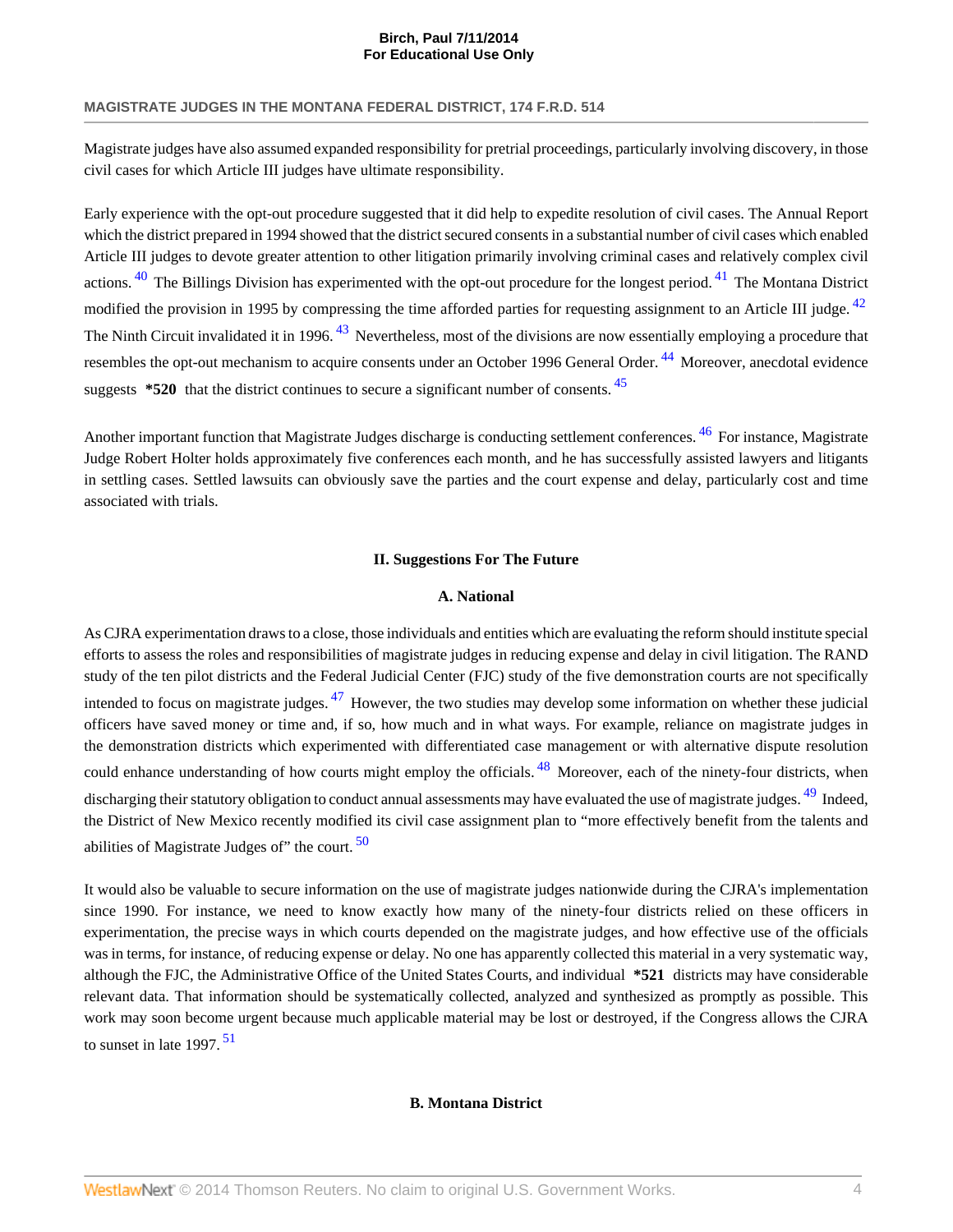Magistrate judges have also assumed expanded responsibility for pretrial proceedings, particularly involving discovery, in those civil cases for which Article III judges have ultimate responsibility.

<span id="page-4-0"></span>Early experience with the opt-out procedure suggested that it did help to expedite resolution of civil cases. The Annual Report which the district prepared in 1994 showed that the district secured consents in a substantial number of civil cases which enabled Article III judges to devote greater attention to other litigation primarily involving criminal cases and relatively complex civil actions.  $40$  The Billings Division has experimented with the opt-out procedure for the longest period.  $41$  The Montana District modified the provision in 1995 by compressing the time afforded parties for requesting assignment to an Article III judge. <sup>[42](#page-7-14)</sup> The Ninth Circuit invalidated it in 1996. <sup>[43](#page-7-15)</sup> Nevertheless, most of the divisions are now essentially employing a procedure that resembles the opt-out mechanism to acquire consents under an October 1996 General Order. <sup>[44](#page-7-16)</sup> Moreover, anecdotal evidence suggests **\*520** that the district continues to secure a significant number of consents. [45](#page-7-17)

Another important function that Magistrate Judges discharge is conducting settlement conferences. <sup>[46](#page-7-18)</sup> For instance, Magistrate Judge Robert Holter holds approximately five conferences each month, and he has successfully assisted lawyers and litigants in settling cases. Settled lawsuits can obviously save the parties and the court expense and delay, particularly cost and time associated with trials.

#### <span id="page-4-7"></span><span id="page-4-3"></span>**II. Suggestions For The Future**

#### <span id="page-4-10"></span><span id="page-4-9"></span><span id="page-4-8"></span><span id="page-4-6"></span><span id="page-4-5"></span><span id="page-4-4"></span><span id="page-4-2"></span><span id="page-4-1"></span>**A. National**

As CJRA experimentation draws to a close, those individuals and entities which are evaluating the reform should institute special efforts to assess the roles and responsibilities of magistrate judges in reducing expense and delay in civil litigation. The RAND study of the ten pilot districts and the Federal Judicial Center (FJC) study of the five demonstration courts are not specifically intended to focus on magistrate judges. [47](#page-7-19) However, the two studies may develop some information on whether these judicial officers have saved money or time and, if so, how much and in what ways. For example, reliance on magistrate judges in the demonstration districts which experimented with differentiated case management or with alternative dispute resolution could enhance understanding of how courts might employ the officials. <sup>[48](#page-7-20)</sup> Moreover, each of the ninety-four districts, when discharging their statutory obligation to conduct annual assessments may have evaluated the use of magistrate judges. <sup>[49](#page-7-21)</sup> Indeed, the District of New Mexico recently modified its civil case assignment plan to "more effectively benefit from the talents and abilities of Magistrate Judges of" the court.  $50$ 

<span id="page-4-11"></span>It would also be valuable to secure information on the use of magistrate judges nationwide during the CJRA's implementation since 1990. For instance, we need to know exactly how many of the ninety-four districts relied on these officers in experimentation, the precise ways in which courts depended on the magistrate judges, and how effective use of the officials was in terms, for instance, of reducing expense or delay. No one has apparently collected this material in a very systematic way, although the FJC, the Administrative Office of the United States Courts, and individual **\*521** districts may have considerable relevant data. That information should be systematically collected, analyzed and synthesized as promptly as possible. This work may soon become urgent because much applicable material may be lost or destroyed, if the Congress allows the CJRA to sunset in late 1997.<sup>[51](#page-7-23)</sup>

#### **B. Montana District**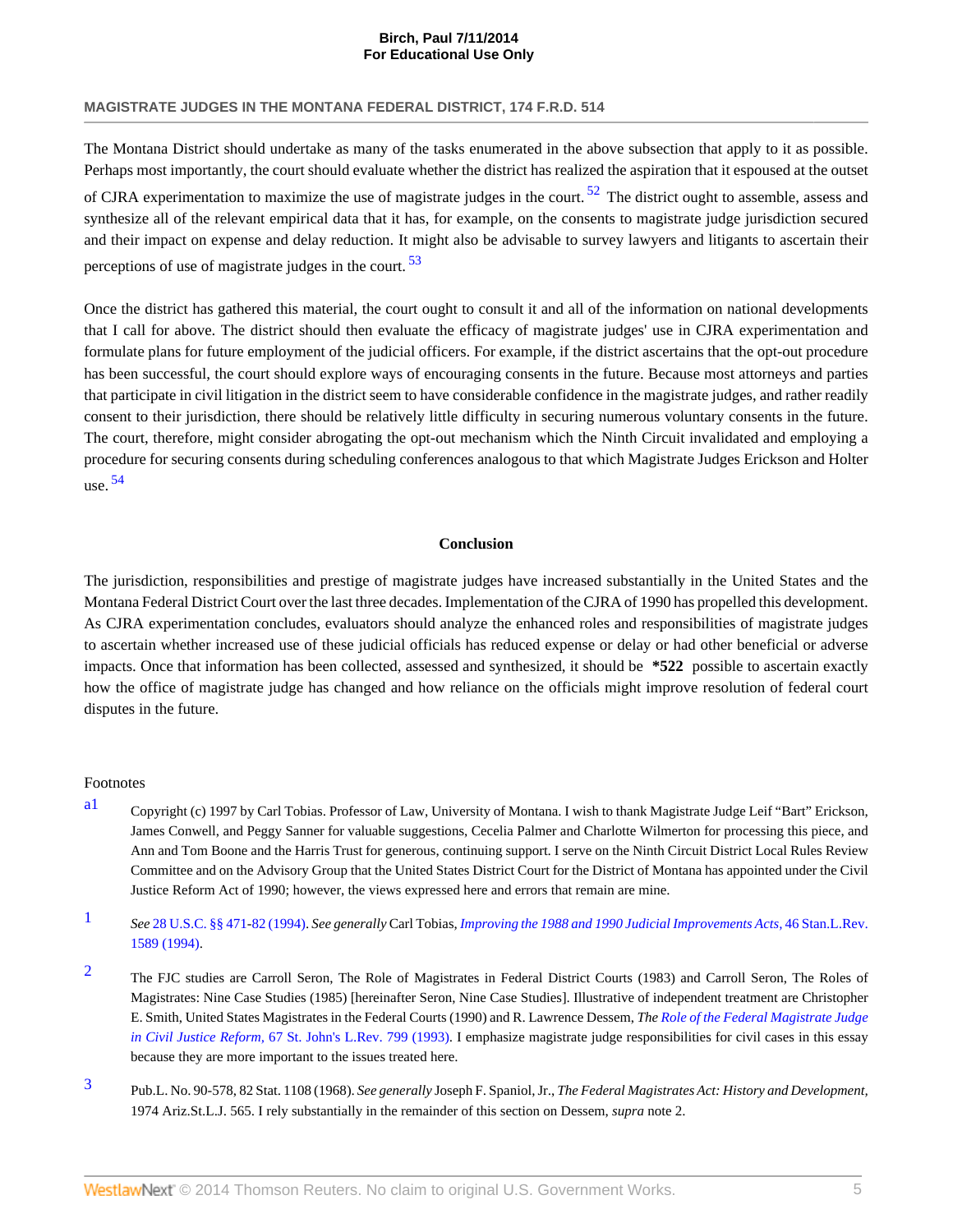The Montana District should undertake as many of the tasks enumerated in the above subsection that apply to it as possible. Perhaps most importantly, the court should evaluate whether the district has realized the aspiration that it espoused at the outset of CJRA experimentation to maximize the use of magistrate judges in the court.  $52$  The district ought to assemble, assess and synthesize all of the relevant empirical data that it has, for example, on the consents to magistrate judge jurisdiction secured and their impact on expense and delay reduction. It might also be advisable to survey lawyers and litigants to ascertain their perceptions of use of magistrate judges in the court.  $53$ 

Once the district has gathered this material, the court ought to consult it and all of the information on national developments that I call for above. The district should then evaluate the efficacy of magistrate judges' use in CJRA experimentation and formulate plans for future employment of the judicial officers. For example, if the district ascertains that the opt-out procedure has been successful, the court should explore ways of encouraging consents in the future. Because most attorneys and parties that participate in civil litigation in the district seem to have considerable confidence in the magistrate judges, and rather readily consent to their jurisdiction, there should be relatively little difficulty in securing numerous voluntary consents in the future. The court, therefore, might consider abrogating the opt-out mechanism which the Ninth Circuit invalidated and employing a procedure for securing consents during scheduling conferences analogous to that which Magistrate Judges Erickson and Holter use.  $54$ 

#### <span id="page-5-5"></span><span id="page-5-4"></span>**Conclusion**

<span id="page-5-6"></span>The jurisdiction, responsibilities and prestige of magistrate judges have increased substantially in the United States and the Montana Federal District Court over the last three decades. Implementation of the CJRA of 1990 has propelled this development. As CJRA experimentation concludes, evaluators should analyze the enhanced roles and responsibilities of magistrate judges to ascertain whether increased use of these judicial officials has reduced expense or delay or had other beneficial or adverse impacts. Once that information has been collected, assessed and synthesized, it should be **\*522** possible to ascertain exactly how the office of magistrate judge has changed and how reliance on the officials might improve resolution of federal court disputes in the future.

#### Footnotes

- <span id="page-5-0"></span>[a1](#page-1-0) Copyright (c) 1997 by Carl Tobias. Professor of Law, University of Montana. I wish to thank Magistrate Judge Leif "Bart" Erickson, James Conwell, and Peggy Sanner for valuable suggestions, Cecelia Palmer and Charlotte Wilmerton for processing this piece, and Ann and Tom Boone and the Harris Trust for generous, continuing support. I serve on the Ninth Circuit District Local Rules Review Committee and on the Advisory Group that the United States District Court for the District of Montana has appointed under the Civil Justice Reform Act of 1990; however, the views expressed here and errors that remain are mine.
- <span id="page-5-1"></span>[1](#page-1-1) *See* [28 U.S.C. §§ 471](http://www.westlaw.com/Link/Document/FullText?findType=L&pubNum=1000546&cite=28USCAS471&originatingDoc=Ie561003136f111dc8120b359c1a23e50&refType=LQ&originationContext=document&vr=3.0&rs=cblt1.0&transitionType=DocumentItem&contextData=(sc.UserEnteredCitation))[-82 \(1994\)](http://www.westlaw.com/Link/Document/FullText?findType=L&pubNum=1000546&cite=28USCAS82&originatingDoc=Ie561003136f111dc8120b359c1a23e50&refType=LQ&originationContext=document&vr=3.0&rs=cblt1.0&transitionType=DocumentItem&contextData=(sc.UserEnteredCitation)). *See generally* Carl Tobias, *[Improving the 1988 and 1990 Judicial Improvements Acts,](http://www.westlaw.com/Link/Document/FullText?findType=Y&serNum=0104860234&pubNum=1239&originationContext=document&vr=3.0&rs=cblt1.0&transitionType=DocumentItem&contextData=(sc.UserEnteredCitation))* 46 Stan.L.Rev. [1589 \(1994\).](http://www.westlaw.com/Link/Document/FullText?findType=Y&serNum=0104860234&pubNum=1239&originationContext=document&vr=3.0&rs=cblt1.0&transitionType=DocumentItem&contextData=(sc.UserEnteredCitation))
- <span id="page-5-2"></span><sup>[2](#page-1-2)</sup> The FJC studies are Carroll Seron, The Role of Magistrates in Federal District Courts (1983) and Carroll Seron, The Roles of Magistrates: Nine Case Studies (1985) [hereinafter Seron, Nine Case Studies]. Illustrative of independent treatment are Christopher E. Smith, United States Magistrates in the Federal Courts (1990) and R. Lawrence Dessem, *The [Role of the Federal Magistrate Judge](http://www.westlaw.com/Link/Document/FullText?findType=Y&serNum=0104628485&pubNum=1235&originationContext=document&vr=3.0&rs=cblt1.0&transitionType=DocumentItem&contextData=(sc.UserEnteredCitation)) in Civil Justice Reform,* [67 St. John's L.Rev. 799 \(1993\)](http://www.westlaw.com/Link/Document/FullText?findType=Y&serNum=0104628485&pubNum=1235&originationContext=document&vr=3.0&rs=cblt1.0&transitionType=DocumentItem&contextData=(sc.UserEnteredCitation)). I emphasize magistrate judge responsibilities for civil cases in this essay because they are more important to the issues treated here.
- <span id="page-5-3"></span>[3](#page-1-3) Pub.L. No. 90-578, 82 Stat. 1108 (1968). *See generally* Joseph F. Spaniol, Jr., *The Federal Magistrates Act: History and Development,* 1974 Ariz.St.L.J. 565. I rely substantially in the remainder of this section on Dessem, *supra* note 2.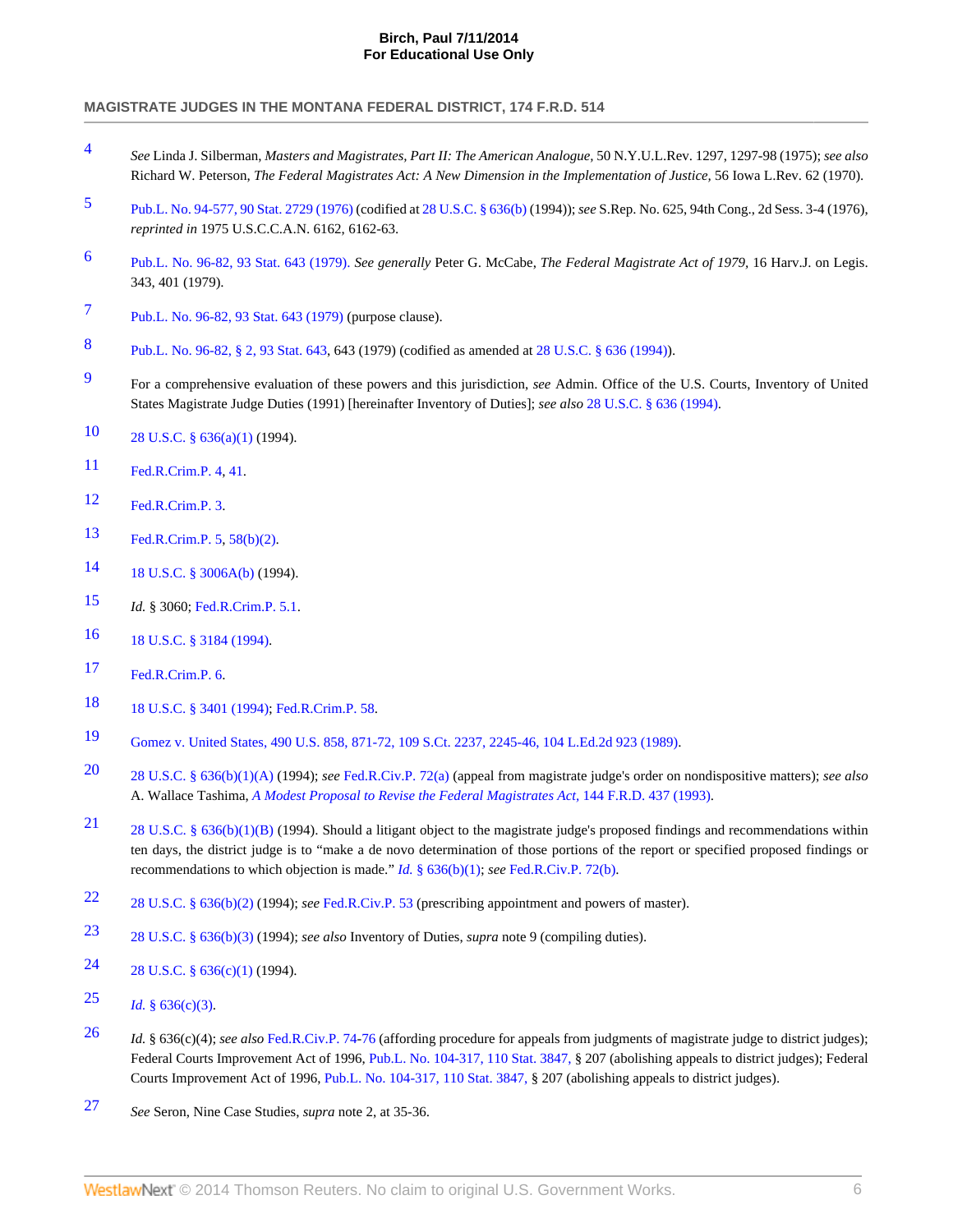- <span id="page-6-0"></span>[4](#page-1-4) *See* Linda J. Silberman, *Masters and Magistrates, Part II: The American Analogue,* 50 N.Y.U.L.Rev. 1297, 1297-98 (1975); *see also* Richard W. Peterson, *The Federal Magistrates Act: A New Dimension in the Implementation of Justice,* 56 Iowa L.Rev. 62 (1970).
- <span id="page-6-1"></span>[5](#page-1-5) [Pub.L. No. 94-577, 90 Stat. 2729 \(1976\)](http://www.westlaw.com/Link/Document/FullText?findType=l&pubNum=1077005&cite=UUID(IAE7F407ECF-704862B1609-C39D0421F0F)&originationContext=document&vr=3.0&rs=cblt1.0&transitionType=DocumentItem&contextData=(sc.UserEnteredCitation)) (codified at [28 U.S.C. § 636\(b\)](http://www.westlaw.com/Link/Document/FullText?findType=L&pubNum=1000546&cite=28USCAS636&originationContext=document&vr=3.0&rs=cblt1.0&transitionType=DocumentItem&contextData=(sc.UserEnteredCitation)#co_pp_a83b000018c76) (1994)); *see* S.Rep. No. 625, 94th Cong., 2d Sess. 3-4 (1976), *reprinted in* 1975 U.S.C.C.A.N. 6162, 6162-63.
- <span id="page-6-2"></span>[6](#page-1-6) [Pub.L. No. 96-82, 93 Stat. 643 \(1979\).](http://www.westlaw.com/Link/Document/FullText?findType=l&pubNum=1077005&cite=UUID(IE22A2FDAD2-384AF9879A5-720722A9811)&originationContext=document&vr=3.0&rs=cblt1.0&transitionType=DocumentItem&contextData=(sc.UserEnteredCitation)) *See generally* Peter G. McCabe, *The Federal Magistrate Act of 1979,* 16 Harv.J. on Legis. 343, 401 (1979).
- <span id="page-6-3"></span>[7](#page-1-7) [Pub.L. No. 96-82, 93 Stat. 643 \(1979\)](http://www.westlaw.com/Link/Document/FullText?findType=l&pubNum=1077005&cite=UUID(IE22A2FDAD2-384AF9879A5-720722A9811)&originationContext=document&vr=3.0&rs=cblt1.0&transitionType=DocumentItem&contextData=(sc.UserEnteredCitation)) (purpose clause).
- <span id="page-6-4"></span>[8](#page-2-0) [Pub.L. No. 96-82, § 2, 93 Stat. 643,](http://www.westlaw.com/Link/Document/FullText?findType=l&pubNum=1077005&cite=UUID(IE22A2FDAD2-384AF9879A5-720722A9811)&originationContext=document&vr=3.0&rs=cblt1.0&transitionType=DocumentItem&contextData=(sc.UserEnteredCitation)) 643 (1979) (codified as amended at [28 U.S.C. § 636 \(1994\)\)](http://www.westlaw.com/Link/Document/FullText?findType=L&pubNum=1000546&cite=28USCAS636&originatingDoc=Ie561003136f111dc8120b359c1a23e50&refType=LQ&originationContext=document&vr=3.0&rs=cblt1.0&transitionType=DocumentItem&contextData=(sc.UserEnteredCitation)).
- <span id="page-6-5"></span>[9](#page-2-1) For a comprehensive evaluation of these powers and this jurisdiction, *see* Admin. Office of the U.S. Courts, Inventory of United States Magistrate Judge Duties (1991) [hereinafter Inventory of Duties]; *see also* [28 U.S.C. § 636 \(1994\)](http://www.westlaw.com/Link/Document/FullText?findType=L&pubNum=1000546&cite=28USCAS636&originatingDoc=Ie561003136f111dc8120b359c1a23e50&refType=LQ&originationContext=document&vr=3.0&rs=cblt1.0&transitionType=DocumentItem&contextData=(sc.UserEnteredCitation)).
- <span id="page-6-6"></span>[10](#page-2-2) [28 U.S.C. § 636\(a\)\(1\)](http://www.westlaw.com/Link/Document/FullText?findType=L&pubNum=1000546&cite=28USCAS636&originationContext=document&vr=3.0&rs=cblt1.0&transitionType=DocumentItem&contextData=(sc.UserEnteredCitation)#co_pp_7b9b000044381) (1994).
- <span id="page-6-7"></span>[11](#page-2-3) [Fed.R.Crim.P. 4](http://www.westlaw.com/Link/Document/FullText?findType=L&pubNum=1004365&cite=USFRCRPR4&originatingDoc=Ie561003136f111dc8120b359c1a23e50&refType=LQ&originationContext=document&vr=3.0&rs=cblt1.0&transitionType=DocumentItem&contextData=(sc.UserEnteredCitation)), [41.](http://www.westlaw.com/Link/Document/FullText?findType=L&pubNum=1004365&cite=USFRCRPR41&originatingDoc=Ie561003136f111dc8120b359c1a23e50&refType=LQ&originationContext=document&vr=3.0&rs=cblt1.0&transitionType=DocumentItem&contextData=(sc.UserEnteredCitation))
- <span id="page-6-8"></span>[12](#page-2-4) [Fed.R.Crim.P. 3](http://www.westlaw.com/Link/Document/FullText?findType=L&pubNum=1004365&cite=USFRCRPR3&originatingDoc=Ie561003136f111dc8120b359c1a23e50&refType=LQ&originationContext=document&vr=3.0&rs=cblt1.0&transitionType=DocumentItem&contextData=(sc.UserEnteredCitation)).
- <span id="page-6-9"></span>[13](#page-2-5) [Fed.R.Crim.P. 5](http://www.westlaw.com/Link/Document/FullText?findType=L&pubNum=1004365&cite=USFRCRPR5&originatingDoc=Ie561003136f111dc8120b359c1a23e50&refType=LQ&originationContext=document&vr=3.0&rs=cblt1.0&transitionType=DocumentItem&contextData=(sc.UserEnteredCitation)), [58\(b\)\(2\).](http://www.westlaw.com/Link/Document/FullText?findType=L&pubNum=1004365&cite=USFRCRPR58&originatingDoc=Ie561003136f111dc8120b359c1a23e50&refType=LQ&originationContext=document&vr=3.0&rs=cblt1.0&transitionType=DocumentItem&contextData=(sc.UserEnteredCitation))
- <span id="page-6-10"></span>[14](#page-2-6) [18 U.S.C. § 3006A\(b\)](http://www.westlaw.com/Link/Document/FullText?findType=L&pubNum=1000546&cite=18USCAS3006A&originationContext=document&vr=3.0&rs=cblt1.0&transitionType=DocumentItem&contextData=(sc.UserEnteredCitation)#co_pp_a83b000018c76) (1994).
- <span id="page-6-11"></span>[15](#page-2-7) *Id.* § 3060; [Fed.R.Crim.P. 5.1.](http://www.westlaw.com/Link/Document/FullText?findType=L&pubNum=1004365&cite=USFRCRPR5.1&originatingDoc=Ie561003136f111dc8120b359c1a23e50&refType=LQ&originationContext=document&vr=3.0&rs=cblt1.0&transitionType=DocumentItem&contextData=(sc.UserEnteredCitation))
- <span id="page-6-12"></span>[16](#page-2-8) [18 U.S.C. § 3184 \(1994\)](http://www.westlaw.com/Link/Document/FullText?findType=L&pubNum=1000546&cite=18USCAS3184&originatingDoc=Ie561003136f111dc8120b359c1a23e50&refType=LQ&originationContext=document&vr=3.0&rs=cblt1.0&transitionType=DocumentItem&contextData=(sc.UserEnteredCitation)).
- <span id="page-6-13"></span>[17](#page-2-9) [Fed.R.Crim.P. 6](http://www.westlaw.com/Link/Document/FullText?findType=L&pubNum=1004365&cite=USFRCRPR6&originatingDoc=Ie561003136f111dc8120b359c1a23e50&refType=LQ&originationContext=document&vr=3.0&rs=cblt1.0&transitionType=DocumentItem&contextData=(sc.UserEnteredCitation)).
- <span id="page-6-14"></span>[18](#page-2-10) [18 U.S.C. § 3401 \(1994\)](http://www.westlaw.com/Link/Document/FullText?findType=L&pubNum=1000546&cite=18USCAS3401&originatingDoc=Ie561003136f111dc8120b359c1a23e50&refType=LQ&originationContext=document&vr=3.0&rs=cblt1.0&transitionType=DocumentItem&contextData=(sc.UserEnteredCitation)); [Fed.R.Crim.P. 58](http://www.westlaw.com/Link/Document/FullText?findType=L&pubNum=1004365&cite=USFRCRPR58&originatingDoc=Ie561003136f111dc8120b359c1a23e50&refType=LQ&originationContext=document&vr=3.0&rs=cblt1.0&transitionType=DocumentItem&contextData=(sc.UserEnteredCitation)).
- <span id="page-6-15"></span>[19](#page-2-11) [Gomez v. United States, 490 U.S. 858, 871-72, 109 S.Ct. 2237, 2245-46, 104 L.Ed.2d 923 \(1989\)](http://www.westlaw.com/Link/Document/FullText?findType=Y&serNum=1989086451&pubNum=708&fi=co_pp_sp_708_2245&originationContext=document&vr=3.0&rs=cblt1.0&transitionType=DocumentItem&contextData=(sc.UserEnteredCitation)#co_pp_sp_708_2245).
- <span id="page-6-16"></span>[20](#page-2-12) [28 U.S.C. § 636\(b\)\(1\)\(A\)](http://www.westlaw.com/Link/Document/FullText?findType=L&pubNum=1000546&cite=28USCAS636&originationContext=document&vr=3.0&rs=cblt1.0&transitionType=DocumentItem&contextData=(sc.UserEnteredCitation)#co_pp_8b16000077793) (1994); *see* [Fed.R.Civ.P. 72\(a\)](http://www.westlaw.com/Link/Document/FullText?findType=L&pubNum=1004365&cite=USFRCPR72&originatingDoc=Ie561003136f111dc8120b359c1a23e50&refType=LQ&originationContext=document&vr=3.0&rs=cblt1.0&transitionType=DocumentItem&contextData=(sc.UserEnteredCitation)) (appeal from magistrate judge's order on nondispositive matters); *see also* A. Wallace Tashima, *[A Modest Proposal to Revise the Federal Magistrates Act,](http://www.westlaw.com/Link/Document/FullText?findType=Y&serNum=0102840001&pubNum=344&originationContext=document&vr=3.0&rs=cblt1.0&transitionType=DocumentItem&contextData=(sc.UserEnteredCitation))* 144 F.R.D. 437 (1993).
- <span id="page-6-17"></span>[21](#page-2-13) [28 U.S.C. § 636\(b\)\(1\)\(B\)](http://www.westlaw.com/Link/Document/FullText?findType=L&pubNum=1000546&cite=28USCAS636&originationContext=document&vr=3.0&rs=cblt1.0&transitionType=DocumentItem&contextData=(sc.UserEnteredCitation)#co_pp_2a4b0000e5562) (1994). Should a litigant object to the magistrate judge's proposed findings and recommendations within ten days, the district judge is to "make a de novo determination of those portions of the report or specified proposed findings or recommendations to which objection is made." *Id.* [§ 636\(b\)\(1\);](http://www.westlaw.com/Link/Document/FullText?findType=L&pubNum=1000546&cite=28USCAS636&originationContext=document&vr=3.0&rs=cblt1.0&transitionType=DocumentItem&contextData=(sc.UserEnteredCitation)#co_pp_3fed000053a85) *see* [Fed.R.Civ.P. 72\(b\)](http://www.westlaw.com/Link/Document/FullText?findType=L&pubNum=1004365&cite=USFRCPR72&originatingDoc=Ie561003136f111dc8120b359c1a23e50&refType=LQ&originationContext=document&vr=3.0&rs=cblt1.0&transitionType=DocumentItem&contextData=(sc.UserEnteredCitation)).
- <span id="page-6-18"></span>[22](#page-2-14) [28 U.S.C. § 636\(b\)\(2\)](http://www.westlaw.com/Link/Document/FullText?findType=L&pubNum=1000546&cite=28USCAS636&originationContext=document&vr=3.0&rs=cblt1.0&transitionType=DocumentItem&contextData=(sc.UserEnteredCitation)#co_pp_c0ae00006c482) (1994); *see* [Fed.R.Civ.P. 53](http://www.westlaw.com/Link/Document/FullText?findType=L&pubNum=1004365&cite=USFRCPR53&originatingDoc=Ie561003136f111dc8120b359c1a23e50&refType=LQ&originationContext=document&vr=3.0&rs=cblt1.0&transitionType=DocumentItem&contextData=(sc.UserEnteredCitation)) (prescribing appointment and powers of master).
- <span id="page-6-19"></span>[23](#page-2-15) [28 U.S.C. § 636\(b\)\(3\)](http://www.westlaw.com/Link/Document/FullText?findType=L&pubNum=1000546&cite=28USCAS636&originationContext=document&vr=3.0&rs=cblt1.0&transitionType=DocumentItem&contextData=(sc.UserEnteredCitation)#co_pp_d801000002763) (1994); *see also* Inventory of Duties, *supra* note 9 (compiling duties).
- <span id="page-6-20"></span>[24](#page-2-16) 28 U.S.C. §  $636(c)(1)$  (1994).
- <span id="page-6-21"></span>[25](#page-2-17) *Id.* §  $636(c)(3)$ .
- <span id="page-6-22"></span>[26](#page-2-18) *Id.* § 636(c)(4); *see also* [Fed.R.Civ.P. 74](http://www.westlaw.com/Link/Document/FullText?findType=L&pubNum=1004365&cite=USFRCPR74&originatingDoc=Ie561003136f111dc8120b359c1a23e50&refType=LQ&originationContext=document&vr=3.0&rs=cblt1.0&transitionType=DocumentItem&contextData=(sc.UserEnteredCitation))[-76](http://www.westlaw.com/Link/Document/FullText?findType=L&pubNum=1004365&cite=USFRCPR76&originatingDoc=Ie561003136f111dc8120b359c1a23e50&refType=LQ&originationContext=document&vr=3.0&rs=cblt1.0&transitionType=DocumentItem&contextData=(sc.UserEnteredCitation)) (affording procedure for appeals from judgments of magistrate judge to district judges); Federal Courts Improvement Act of 1996, [Pub.L. No. 104-317, 110 Stat. 3847,](http://www.westlaw.com/Link/Document/FullText?findType=l&pubNum=1077005&cite=UUID(I7C34237561-1B4EB9997CD-ED20ABB83D0)&originationContext=document&vr=3.0&rs=cblt1.0&transitionType=DocumentItem&contextData=(sc.UserEnteredCitation)) § 207 (abolishing appeals to district judges); Federal Courts Improvement Act of 1996, [Pub.L. No. 104-317, 110 Stat. 3847,](http://www.westlaw.com/Link/Document/FullText?findType=l&pubNum=1077005&cite=UUID(I7C34237561-1B4EB9997CD-ED20ABB83D0)&originationContext=document&vr=3.0&rs=cblt1.0&transitionType=DocumentItem&contextData=(sc.UserEnteredCitation)) § 207 (abolishing appeals to district judges).
- <span id="page-6-23"></span>[27](#page-2-19) *See* Seron, Nine Case Studies, *supra* note 2, at 35-36.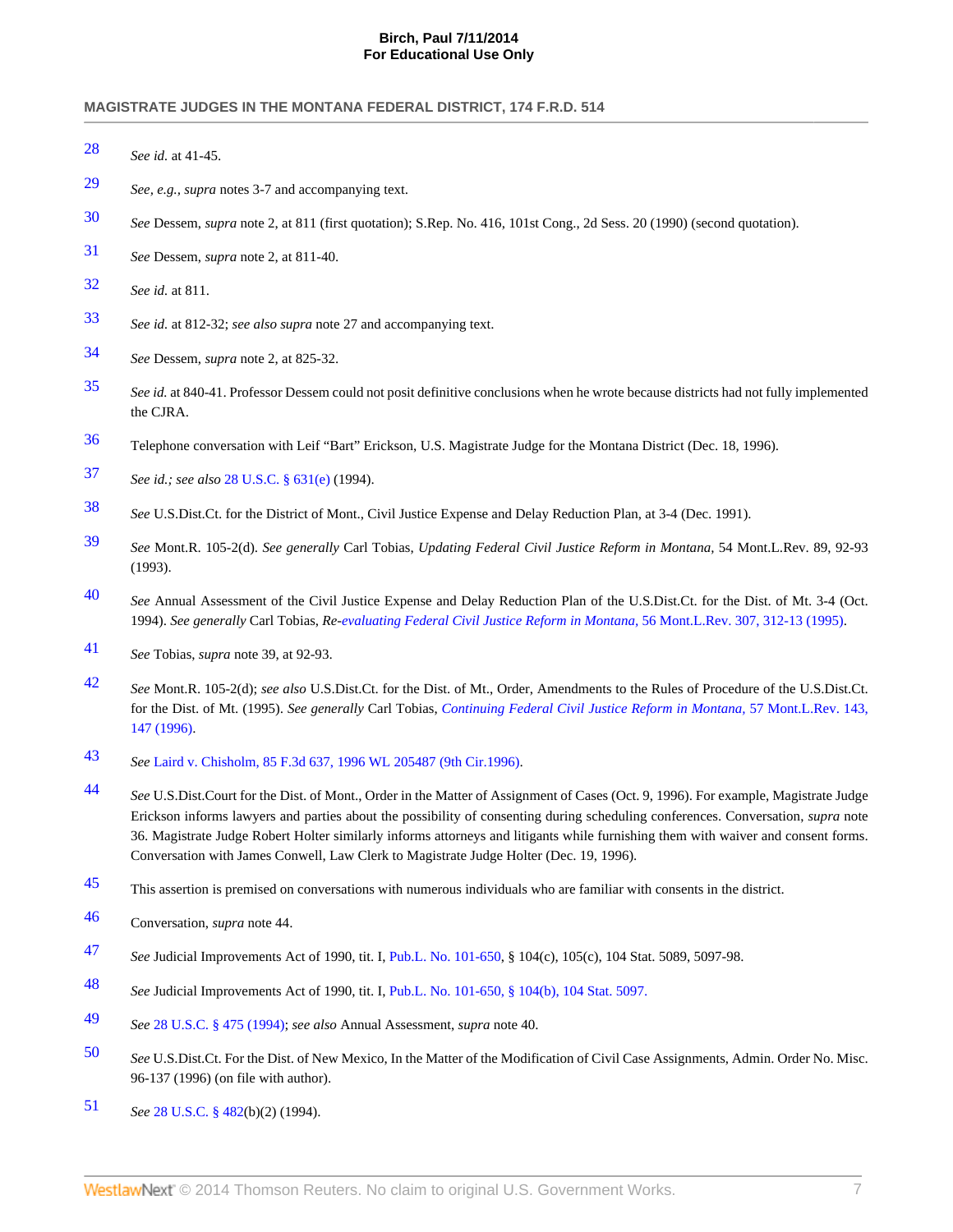- <span id="page-7-0"></span>*See id.* at 41-45.
- <span id="page-7-1"></span>*See, e.g., supra* notes 3-7 and accompanying text.
- <span id="page-7-2"></span>*See* Dessem, *supra* note 2, at 811 (first quotation); S.Rep. No. 416, 101st Cong., 2d Sess. 20 (1990) (second quotation).
- <span id="page-7-3"></span>*See* Dessem, *supra* note 2, at 811-40.
- <span id="page-7-4"></span>*See id.* at 811.
- <span id="page-7-5"></span>*See id.* at 812-32; *see also supra* note 27 and accompanying text.
- <span id="page-7-6"></span>*See* Dessem, *supra* note 2, at 825-32.
- <span id="page-7-7"></span> *See id.* at 840-41. Professor Dessem could not posit definitive conclusions when he wrote because districts had not fully implemented the CJRA.
- <span id="page-7-8"></span>Telephone conversation with Leif "Bart" Erickson, U.S. Magistrate Judge for the Montana District (Dec. 18, 1996).
- <span id="page-7-9"></span>*See id.; see also* [28 U.S.C. § 631\(e\)](http://www.westlaw.com/Link/Document/FullText?findType=L&pubNum=1000546&cite=28USCAS631&originationContext=document&vr=3.0&rs=cblt1.0&transitionType=DocumentItem&contextData=(sc.UserEnteredCitation)#co_pp_7fdd00001ca15) (1994).
- <span id="page-7-10"></span>*See* U.S.Dist.Ct. for the District of Mont., Civil Justice Expense and Delay Reduction Plan, at 3-4 (Dec. 1991).
- <span id="page-7-11"></span> *See* Mont.R. 105-2(d). *See generally* Carl Tobias, *Updating Federal Civil Justice Reform in Montana,* 54 Mont.L.Rev. 89, 92-93 (1993).
- <span id="page-7-12"></span> *See* Annual Assessment of the Civil Justice Expense and Delay Reduction Plan of the U.S.Dist.Ct. for the Dist. of Mt. 3-4 (Oct. 1994). *See generally* Carl Tobias, *Re[-evaluating Federal Civil Justice Reform in Montana,](http://www.westlaw.com/Link/Document/FullText?findType=Y&serNum=0105031852&pubNum=3085&fi=co_pp_sp_3085_312&originationContext=document&vr=3.0&rs=cblt1.0&transitionType=DocumentItem&contextData=(sc.UserEnteredCitation)#co_pp_sp_3085_312)* 56 Mont.L.Rev. 307, 312-13 (1995).
- <span id="page-7-13"></span>*See* Tobias, *supra* note 39, at 92-93.
- <span id="page-7-14"></span> *See* Mont.R. 105-2(d); *see also* U.S.Dist.Ct. for the Dist. of Mt., Order, Amendments to the Rules of Procedure of the U.S.Dist.Ct. for the Dist. of Mt. (1995). *See generally* Carl Tobias, *[Continuing Federal Civil Justice Reform in Montana,](http://www.westlaw.com/Link/Document/FullText?findType=Y&serNum=0106285848&pubNum=3085&fi=co_pp_sp_3085_147&originationContext=document&vr=3.0&rs=cblt1.0&transitionType=DocumentItem&contextData=(sc.UserEnteredCitation)#co_pp_sp_3085_147)* 57 Mont.L.Rev. 143, [147 \(1996\)](http://www.westlaw.com/Link/Document/FullText?findType=Y&serNum=0106285848&pubNum=3085&fi=co_pp_sp_3085_147&originationContext=document&vr=3.0&rs=cblt1.0&transitionType=DocumentItem&contextData=(sc.UserEnteredCitation)#co_pp_sp_3085_147).
- <span id="page-7-15"></span>*See* [Laird v. Chisholm, 85 F.3d 637, 1996 WL 205487 \(9th Cir.1996\).](http://www.westlaw.com/Link/Document/FullText?findType=Y&serNum=1996104409&pubNum=506&originationContext=document&vr=3.0&rs=cblt1.0&transitionType=DocumentItem&contextData=(sc.UserEnteredCitation))
- <span id="page-7-16"></span> *See* U.S.Dist.Court for the Dist. of Mont., Order in the Matter of Assignment of Cases (Oct. 9, 1996). For example, Magistrate Judge Erickson informs lawyers and parties about the possibility of consenting during scheduling conferences. Conversation, *supra* note 36. Magistrate Judge Robert Holter similarly informs attorneys and litigants while furnishing them with waiver and consent forms. Conversation with James Conwell, Law Clerk to Magistrate Judge Holter (Dec. 19, 1996).
- <span id="page-7-17"></span>This assertion is premised on conversations with numerous individuals who are familiar with consents in the district.
- <span id="page-7-18"></span>Conversation, *supra* note 44.
- <span id="page-7-19"></span>*See* Judicial Improvements Act of 1990, tit. I, [Pub.L. No. 101-650,](http://www.westlaw.com/Link/Document/FullText?findType=l&pubNum=1077005&cite=UUID(I64F9DF3484-E4487483A89-366B0D269FF)&originationContext=document&vr=3.0&rs=cblt1.0&transitionType=DocumentItem&contextData=(sc.UserEnteredCitation)) § 104(c), 105(c), 104 Stat. 5089, 5097-98.
- <span id="page-7-20"></span>*See* Judicial Improvements Act of 1990, tit. I, [Pub.L. No. 101-650, § 104\(b\), 104 Stat. 5097.](http://www.westlaw.com/Link/Document/FullText?findType=l&pubNum=1077005&cite=UUID(I64F9DF3484-E4487483A89-366B0D269FF)&originationContext=document&vr=3.0&rs=cblt1.0&transitionType=DocumentItem&contextData=(sc.UserEnteredCitation))
- <span id="page-7-21"></span>*See* [28 U.S.C. § 475 \(1994\);](http://www.westlaw.com/Link/Document/FullText?findType=L&pubNum=1000546&cite=28USCAS475&originatingDoc=Ie561003136f111dc8120b359c1a23e50&refType=LQ&originationContext=document&vr=3.0&rs=cblt1.0&transitionType=DocumentItem&contextData=(sc.UserEnteredCitation)) *see also* Annual Assessment, *supra* note 40.
- <span id="page-7-22"></span> *See* U.S.Dist.Ct. For the Dist. of New Mexico, In the Matter of the Modification of Civil Case Assignments, Admin. Order No. Misc. 96-137 (1996) (on file with author).
- <span id="page-7-23"></span>*See* [28 U.S.C. § 482](http://www.westlaw.com/Link/Document/FullText?findType=L&pubNum=1000546&cite=28USCAS482&originatingDoc=Ie561003136f111dc8120b359c1a23e50&refType=LQ&originationContext=document&vr=3.0&rs=cblt1.0&transitionType=DocumentItem&contextData=(sc.UserEnteredCitation))(b)(2) (1994).